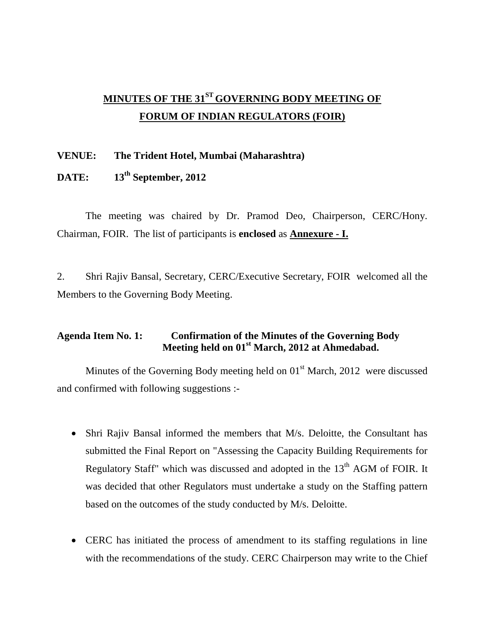# **MINUTES OF THE 31ST GOVERNING BODY MEETING OF FORUM OF INDIAN REGULATORS (FOIR)**

#### **VENUE: The Trident Hotel, Mumbai (Maharashtra)**

## **DATE: 13th September, 2012**

The meeting was chaired by Dr. Pramod Deo, Chairperson, CERC/Hony. Chairman, FOIR. The list of participants is **enclosed** as **Annexure - I.**

2. Shri Rajiv Bansal, Secretary, CERC/Executive Secretary, FOIR welcomed all the Members to the Governing Body Meeting.

### **Agenda Item No. 1: Confirmation of the Minutes of the Governing Body Meeting held on 01st March, 2012 at Ahmedabad.**

Minutes of the Governing Body meeting held on  $01<sup>st</sup>$  March, 2012 were discussed and confirmed with following suggestions :-

- Shri Rajiv Bansal informed the members that M/s. Deloitte, the Consultant has submitted the Final Report on "Assessing the Capacity Building Requirements for Regulatory Staff" which was discussed and adopted in the  $13<sup>th</sup>$  AGM of FOIR. It was decided that other Regulators must undertake a study on the Staffing pattern based on the outcomes of the study conducted by M/s. Deloitte.
- CERC has initiated the process of amendment to its staffing regulations in line with the recommendations of the study. CERC Chairperson may write to the Chief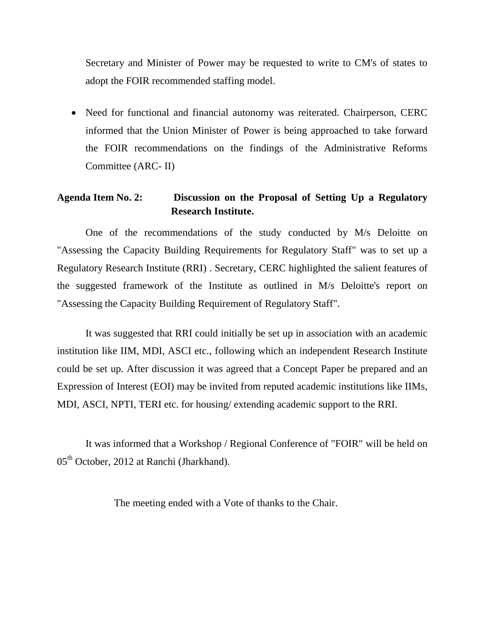Secretary and Minister of Power may be requested to write to CM's of states to adopt the FOIR recommended staffing model.

• Need for functional and financial autonomy was reiterated. Chairperson, CERC informed that the Union Minister of Power is being approached to take forward the FOIR recommendations on the findings of the Administrative Reforms Committee (ARC- II)

### **Agenda Item No. 2: Discussion on the Proposal of Setting Up a Regulatory Research Institute.**

One of the recommendations of the study conducted by M/s Deloitte on "Assessing the Capacity Building Requirements for Regulatory Staff" was to set up a Regulatory Research Institute (RRI) . Secretary, CERC highlighted the salient features of the suggested framework of the Institute as outlined in M/s Deloitte's report on "Assessing the Capacity Building Requirement of Regulatory Staff".

It was suggested that RRI could initially be set up in association with an academic institution like IIM, MDI, ASCI etc., following which an independent Research Institute could be set up. After discussion it was agreed that a Concept Paper be prepared and an Expression of Interest (EOI) may be invited from reputed academic institutions like IIMs, MDI, ASCI, NPTI, TERI etc. for housing/ extending academic support to the RRI.

It was informed that a Workshop / Regional Conference of "FOIR" will be held on 05<sup>th</sup> October, 2012 at Ranchi (Jharkhand).

The meeting ended with a Vote of thanks to the Chair.